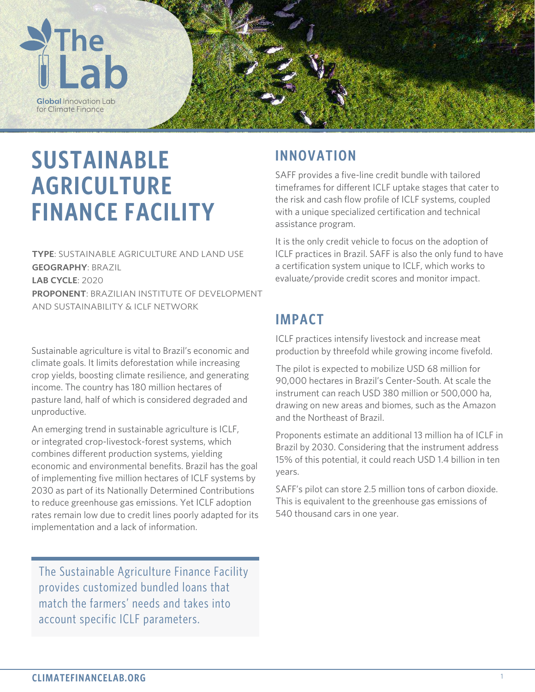

# **SUSTAINABLE AGRICULTURE FINANCE FACILITY**

**TYPE**: SUSTAINABLE AGRICULTURE AND LAND USE **GEOGRAPHY**: BRAZIL **LAB CYCLE**: 2020 **PROPONENT**: BRAZILIAN INSTITUTE OF DEVELOPMENT AND SUSTAINABILITY & ICLF NETWORK

Sustainable agriculture is vital to Brazil's economic and climate goals. It limits deforestation while increasing crop yields, boosting climate resilience, and generating income. The country has 180 million hectares of pasture land, half of which is considered degraded and unproductive.

An emerging trend in sustainable agriculture is ICLF, or integrated crop-livestock-forest systems, which combines different production systems, yielding economic and environmental benefits. Brazil has the goal of implementing five million hectares of ICLF systems by 2030 as part of its Nationally Determined Contributions to reduce greenhouse gas emissions. Yet ICLF adoption rates remain low due to credit lines poorly adapted for its implementation and a lack of information.

The Sustainable Agriculture Finance Facility provides customized bundled loans that match the farmers' needs and takes into account specific ICLF parameters.

## **INNOVATION**

SAFF provides a five-line credit bundle with tailored timeframes for different ICLF uptake stages that cater to the risk and cash flow profile of ICLF systems, coupled with a unique specialized certification and technical assistance program.

It is the only credit vehicle to focus on the adoption of ICLF practices in Brazil. SAFF is also the only fund to have a certification system unique to ICLF, which works to evaluate/provide credit scores and monitor impact.

# **IMPACT**

ICLF practices intensify livestock and increase meat production by threefold while growing income fivefold.

The pilot is expected to mobilize USD 68 million for 90,000 hectares in Brazil's Center-South. At scale the instrument can reach USD 380 million or 500,000 ha, drawing on new areas and biomes, such as the Amazon and the Northeast of Brazil.

Proponents estimate an additional 13 million ha of ICLF in Brazil by 2030. Considering that the instrument address 15% of this potential, it could reach USD 1.4 billion in ten years.

SAFF's pilot can store 2.5 million tons of carbon dioxide. This is equivalent to the greenhouse gas emissions of 540 thousand cars in one year.